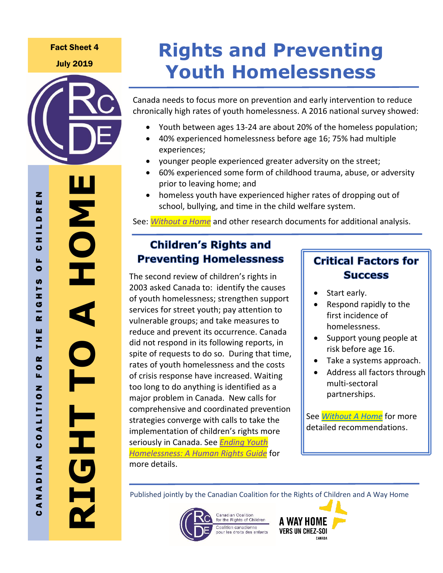#### Fact Sheet 4

July 2019



 $\mathbf{z}$ 

ш  $\alpha$  $\blacksquare$ Ξ Ξ ပ u,  $\bullet$ 

 $\boldsymbol{\omega}$ н z  $\boldsymbol{\sigma}$  $\sim$ ш z. н

 $\alpha$  $\bullet$ u.  $\overline{z}$ 

**COALITIO** 

 $\overline{z}$ 

 $\frac{1}{2}$ 

 $\blacktriangleleft$ z  $\blacktriangleleft$ ပ

# **Rights and Preventing Youth Homelessness**

Canada needs to focus more on prevention and early intervention to reduce chronically high rates of youth homelessness. A 2016 national survey showed:

- Youth between ages 13-24 are about 20% of the homeless population;
- 40% experienced homelessness before age 16; 75% had multiple experiences;
- younger people experienced greater adversity on the street;
- 60% experienced some form of childhood trauma, abuse, or adversity prior to leaving home; and
- homeless youth have experienced higher rates of dropping out of school, bullying, and time in the child welfare system.

See: *[Without a Home](http://rightsofchildren.ca/wp-content/uploads/2019/07/WithoutAHome-final.pdf)* and other research documents for additional analysis.

#### $\overline{\phantom{a}}$  which is do to improve children's health in Canada: we need a shifted a shifted a shifted a shifted a shifted a shifted a shifted a shifted a shifted a shifted a shifted a shifted a shifted a shifted a shifted **Chingren's Rights and summary of helpful research on what determines when**  $\frac{1}{\sqrt{1-\frac{1}{n}}}\sum_{n=1}^{\infty}$ **Preventing Homelessness | Critical Factors for**

[Determinants of Children's Health](http://rightsofchildren.ca/wp-content/uploads/2019/06/Social-Determinants-of-Childrens-Health-CCRC-Working-Paper.pdf). The second review of children's rights in 2003 asked Canada to: identify the causes of youth homelessness; strengthen support services for street youth; pay attention to vulnerable groups; and take measures to reduce and prevent its occurrence. Canada did not respond in its following reports, in spite of requests to do so. During that time, rates of youth homelessness and the costs of crisis response have increased. Waiting too long to do anything is identified as a major problem in Canada. New calls for comprehensive and coordinated prevention strategies converge with calls to take the implementation of children's rights more seriously in Canada. See *[Ending Youth](http://rightsofchildren.ca/wp-content/uploads/2019/07/Ending-Youth-Homelessness-A-Human-Rights-Guide.pdf)  [Homelessness: A Human Rights Guide](http://rightsofchildren.ca/wp-content/uploads/2019/07/Ending-Youth-Homelessness-A-Human-Rights-Guide.pdf)* for more details.

# **Success**

- Start early.
- Respond rapidly to the first incidence of homelessness.
- Support young people at risk before age 16.
- Take a systems approach.
- Address all factors through multi-sectoral partnerships.

See *[Without A Home](http://rightsofchildren.ca/wp-content/uploads/2019/07/WithoutAHome-final.pdf)* for more detailed recommendations.

Published jointly by the Canadian Coalition for the Rights of Children and A Way Home



Canadian Coalition for the Rights of Children Coalition canadienne bounder curricuments<br>pour les droits des enfants